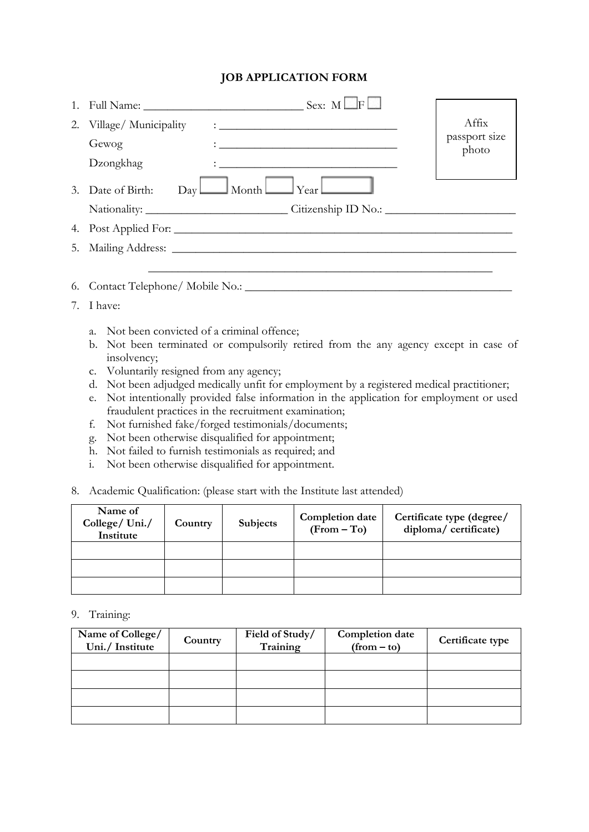## **JOB APPLICATION FORM**

| 1.            |                                                                                                                                                                                                                                                                                                             |                        |  |  |  |  |  |
|---------------|-------------------------------------------------------------------------------------------------------------------------------------------------------------------------------------------------------------------------------------------------------------------------------------------------------------|------------------------|--|--|--|--|--|
| 2.            | Village/Municipality                                                                                                                                                                                                                                                                                        | Affix                  |  |  |  |  |  |
|               | Gewog<br><u> 1989 - Johann Barbara, martin amerikan basar da</u>                                                                                                                                                                                                                                            | passport size<br>photo |  |  |  |  |  |
|               | Dzongkhag<br>the contract of the contract of the contract of the contract of the contract of                                                                                                                                                                                                                |                        |  |  |  |  |  |
|               | $Day$ Month $\Box$ Year<br>3. Date of Birth:                                                                                                                                                                                                                                                                |                        |  |  |  |  |  |
|               |                                                                                                                                                                                                                                                                                                             |                        |  |  |  |  |  |
| 4.            |                                                                                                                                                                                                                                                                                                             |                        |  |  |  |  |  |
| 5.            |                                                                                                                                                                                                                                                                                                             |                        |  |  |  |  |  |
|               |                                                                                                                                                                                                                                                                                                             |                        |  |  |  |  |  |
| 6.            |                                                                                                                                                                                                                                                                                                             |                        |  |  |  |  |  |
| I have:<br>7. |                                                                                                                                                                                                                                                                                                             |                        |  |  |  |  |  |
|               | Not been convicted of a criminal offence;<br>$a_{\cdot}$<br>b. Not been terminated or compulsorily retired from the any agency except in case of<br>insolvency;<br>c. Voluntarily resigned from any agency;<br>Not been adjudged medically unfit for employment by a registered medical practitioner;<br>d. |                        |  |  |  |  |  |
|               | Not intentionally provided false information in the application for employment or used<br>e.<br>fraudulent practices in the recruitment examination;                                                                                                                                                        |                        |  |  |  |  |  |
|               | Not furnished fake/forged testimonials/documents;<br>f.                                                                                                                                                                                                                                                     |                        |  |  |  |  |  |

- g. Not been otherwise disqualified for appointment;
- h. Not failed to furnish testimonials as required; and
- i. Not been otherwise disqualified for appointment.
- 8. Academic Qualification: (please start with the Institute last attended)

| Name of<br>College/Uni./<br>Institute | Country | <b>Subjects</b> | Completion date<br>$(From - To)$ | Certificate type (degree/<br>diploma/ certificate) |
|---------------------------------------|---------|-----------------|----------------------------------|----------------------------------------------------|
|                                       |         |                 |                                  |                                                    |
|                                       |         |                 |                                  |                                                    |
|                                       |         |                 |                                  |                                                    |

9. Training:

| Name of College/<br>Uni./ Institute | Country | Field of Study/<br>Training | <b>Completion date</b><br>$(from - to)$ | Certificate type |
|-------------------------------------|---------|-----------------------------|-----------------------------------------|------------------|
|                                     |         |                             |                                         |                  |
|                                     |         |                             |                                         |                  |
|                                     |         |                             |                                         |                  |
|                                     |         |                             |                                         |                  |